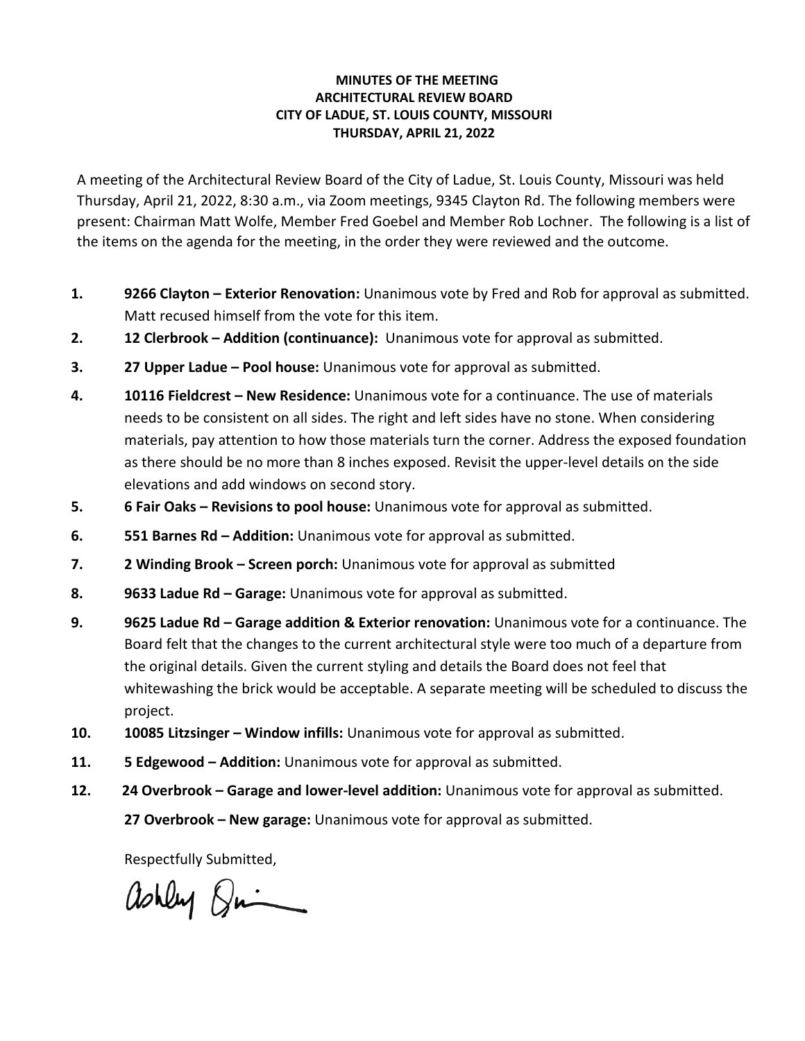## **MINUTES OF THE MEETING ARCHITECTURAL REVIEW BOARD CITY OF LADUE, ST. LOUIS COUNTY, MISSOURI THURSDAY, APRIL 21, 2022**

A meeting of the Architectural Review Board of the City of Ladue, St. Louis County, Missouri was held Thursday, April 21, 2022, 8:30 a.m., via Zoom meetings, 9345 Clayton Rd. The following members were present: Chairman Matt Wolfe, Member Fred Goebel and Member Rob Lochner. The following is a list of the items on the agenda for the meeting, in the order they were reviewed and the outcome.

- **1. 9266 Clayton – Exterior Renovation:** Unanimous vote by Fred and Rob for approval as submitted. Matt recused himself from the vote for this item.
- **2. 12 Clerbrook – Addition (continuance):** Unanimous vote for approval as submitted.
- **3. 27 Upper Ladue – Pool house:** Unanimous vote for approval as submitted.
- **4. 10116 Fieldcrest – New Residence:** Unanimous vote for a continuance. The use of materials needs to be consistent on all sides. The right and left sides have no stone. When considering materials, pay attention to how those materials turn the corner. Address the exposed foundation as there should be no more than 8 inches exposed. Revisit the upper-level details on the side elevations and add windows on second story.
- **5. 6 Fair Oaks – Revisions to pool house:** Unanimous vote for approval as submitted.
- **6. 551 Barnes Rd – Addition:** Unanimous vote for approval as submitted.
- **7. 2 Winding Brook – Screen porch:** Unanimous vote for approval as submitted
- **8. 9633 Ladue Rd – Garage:** Unanimous vote for approval as submitted.
- **9. 9625 Ladue Rd – Garage addition & Exterior renovation:** Unanimous vote for a continuance. The Board felt that the changes to the current architectural style were too much of a departure from the original details. Given the current styling and details the Board does not feel that whitewashing the brick would be acceptable. A separate meeting will be scheduled to discuss the project.
- **10. 10085 Litzsinger – Window infills:** Unanimous vote for approval as submitted.
- **11. 5 Edgewood – Addition:** Unanimous vote for approval as submitted.
- **12. 24 Overbrook – Garage and lower-level addition:** Unanimous vote for approval as submitted.

**27 Overbrook – New garage:** Unanimous vote for approval as submitted.

Respectfully Submitted,

ashley Dring